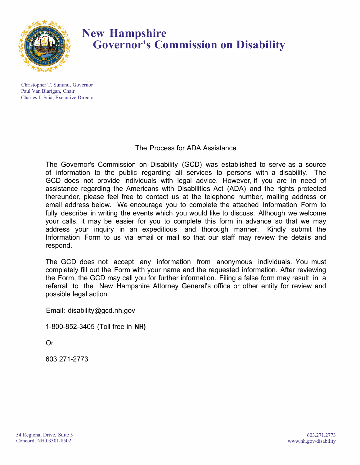

### **New Hampshire Governor's Commission on Disability**

Christopher T. Sununu, Governor Paul Van Blarigan, Chair Charles J. Saia, Executive Director

#### The Process for ADA Assistance

The Governor's Commission on Disability (GCD) was established to serve as a source of information to the public regarding all services to persons with a disability. The GCD does not provide individuals with legal advice. However, if you are in need of assistance regarding the Americans with Disabilities Act (ADA) and the rights protected thereunder, please feel free to contact us at the telephone number, mailing address or email address below. We encourage you to complete the attached Information Form to fully describe in writing the events which you would like to discuss. Although we welcome your calls, it may be easier for you to complete this form in advance so that we may address your inquiry in an expeditious and thorough manner. Kindly submit the Information Form to us via email or mail so that our staff may review the details and respond.

The GCD does not accept any information from anonymous individuals. You must completely fill out the Form with your name and the requested information. After reviewing the Form, the GCD may call you for further information. Filing a false form may result in a referral to the New Hampshire Attorney General's office or other entity for review and possible legal action.

Email: disability@gcd.nh.gov

1-800-852-3405 (Toll free in **NH)**

Or

603 271-2773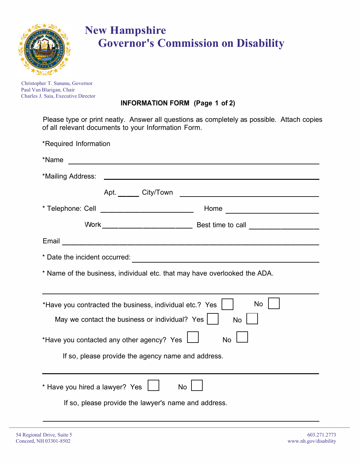

# **New Hampshire Governor's Commission on Disability**

Christopher T. Sununu, Governor Paul Van Blarigan, Chair Charles J. Saia, Executive Director

### **INFORMATION FORM (Page 1 of 2)**

Please type or print neatly. Answer all questions as completely as possible. Attach copies of all relevant documents to your Information Form.

| *Required Information                                                                                                                                  |  |  |
|--------------------------------------------------------------------------------------------------------------------------------------------------------|--|--|
| *Name                                                                                                                                                  |  |  |
|                                                                                                                                                        |  |  |
|                                                                                                                                                        |  |  |
| Home ____________________________                                                                                                                      |  |  |
|                                                                                                                                                        |  |  |
| Email                                                                                                                                                  |  |  |
| * Date the incident occurred:<br><u> 1980 - Johann John Stone, markin film yn y brening yn y brening yn y brening yn y brening yn y brening yn y b</u> |  |  |
| * Name of the business, individual etc. that may have overlooked the ADA.                                                                              |  |  |
| No<br>*Have you contracted the business, individual etc.? Yes<br>May we contact the business or individual? Yes<br><b>No</b>                           |  |  |
| *Have you contacted any other agency? Yes $\Box$<br><b>No</b>                                                                                          |  |  |
| If so, please provide the agency name and address.                                                                                                     |  |  |
| * Have you hired a lawyer? Yes<br>No<br>If so, please provide the lawyer's name and address.                                                           |  |  |